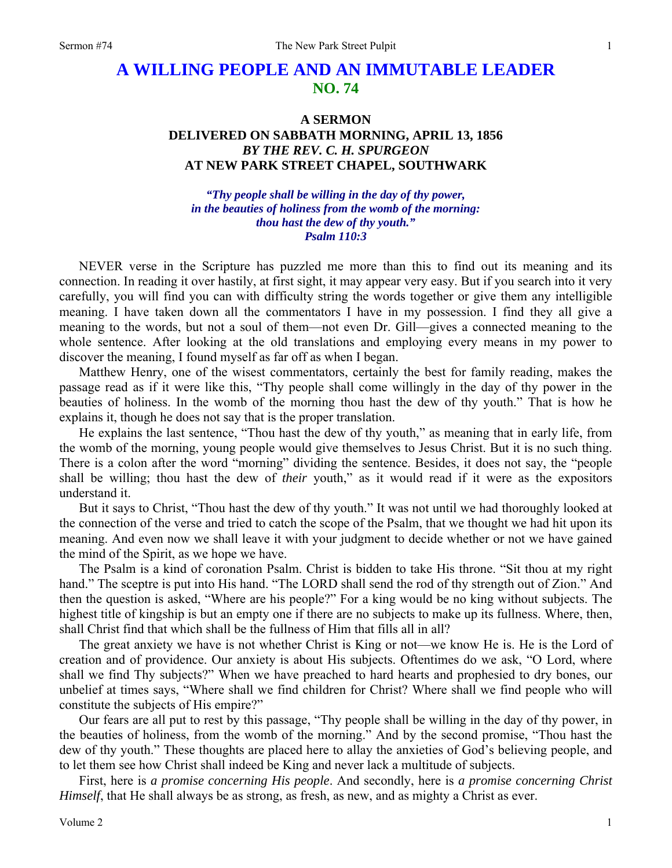# **A WILLING PEOPLE AND AN IMMUTABLE LEADER NO. 74**

# **A SERMON DELIVERED ON SABBATH MORNING, APRIL 13, 1856**  *BY THE REV. C. H. SPURGEON*  **AT NEW PARK STREET CHAPEL, SOUTHWARK**

*"Thy people shall be willing in the day of thy power, in the beauties of holiness from the womb of the morning: thou hast the dew of thy youth." Psalm 110:3* 

NEVER verse in the Scripture has puzzled me more than this to find out its meaning and its connection. In reading it over hastily, at first sight, it may appear very easy. But if you search into it very carefully, you will find you can with difficulty string the words together or give them any intelligible meaning. I have taken down all the commentators I have in my possession. I find they all give a meaning to the words, but not a soul of them—not even Dr. Gill—gives a connected meaning to the whole sentence. After looking at the old translations and employing every means in my power to discover the meaning, I found myself as far off as when I began.

Matthew Henry, one of the wisest commentators, certainly the best for family reading, makes the passage read as if it were like this, "Thy people shall come willingly in the day of thy power in the beauties of holiness. In the womb of the morning thou hast the dew of thy youth." That is how he explains it, though he does not say that is the proper translation.

He explains the last sentence, "Thou hast the dew of thy youth," as meaning that in early life, from the womb of the morning, young people would give themselves to Jesus Christ. But it is no such thing. There is a colon after the word "morning" dividing the sentence. Besides, it does not say, the "people shall be willing; thou hast the dew of *their* youth," as it would read if it were as the expositors understand it.

But it says to Christ, "Thou hast the dew of thy youth." It was not until we had thoroughly looked at the connection of the verse and tried to catch the scope of the Psalm, that we thought we had hit upon its meaning. And even now we shall leave it with your judgment to decide whether or not we have gained the mind of the Spirit, as we hope we have.

The Psalm is a kind of coronation Psalm. Christ is bidden to take His throne. "Sit thou at my right hand." The sceptre is put into His hand. "The LORD shall send the rod of thy strength out of Zion." And then the question is asked, "Where are his people?" For a king would be no king without subjects. The highest title of kingship is but an empty one if there are no subjects to make up its fullness. Where, then, shall Christ find that which shall be the fullness of Him that fills all in all?

The great anxiety we have is not whether Christ is King or not—we know He is. He is the Lord of creation and of providence. Our anxiety is about His subjects. Oftentimes do we ask, "O Lord, where shall we find Thy subjects?" When we have preached to hard hearts and prophesied to dry bones, our unbelief at times says, "Where shall we find children for Christ? Where shall we find people who will constitute the subjects of His empire?"

Our fears are all put to rest by this passage, "Thy people shall be willing in the day of thy power, in the beauties of holiness, from the womb of the morning." And by the second promise, "Thou hast the dew of thy youth." These thoughts are placed here to allay the anxieties of God's believing people, and to let them see how Christ shall indeed be King and never lack a multitude of subjects.

First, here is *a promise concerning His people*. And secondly, here is *a promise concerning Christ Himself*, that He shall always be as strong, as fresh, as new, and as mighty a Christ as ever.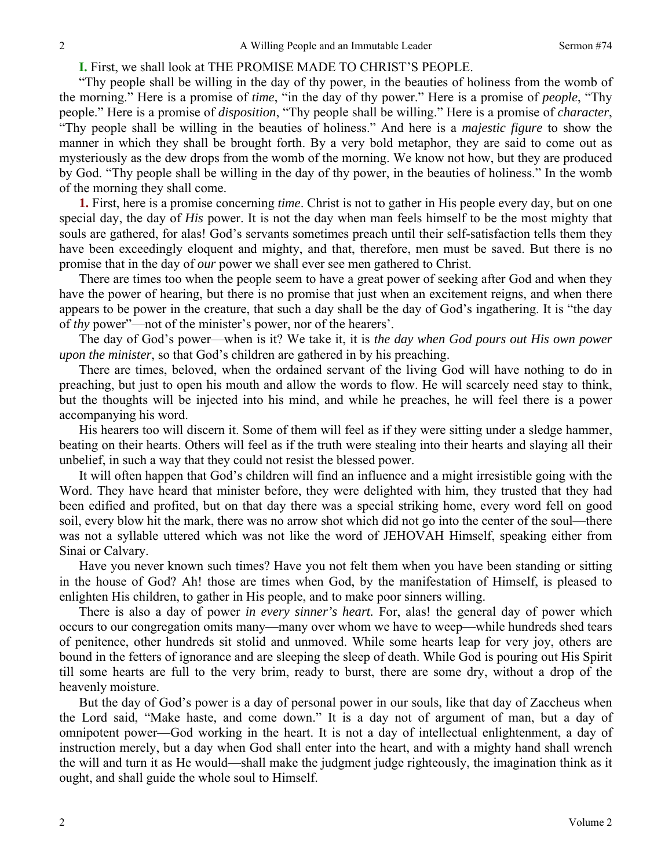# **I.** First, we shall look at THE PROMISE MADE TO CHRIST'S PEOPLE.

"Thy people shall be willing in the day of thy power, in the beauties of holiness from the womb of the morning." Here is a promise of *time*, "in the day of thy power." Here is a promise of *people*, "Thy people." Here is a promise of *disposition*, "Thy people shall be willing." Here is a promise of *character*, "Thy people shall be willing in the beauties of holiness." And here is a *majestic figure* to show the manner in which they shall be brought forth. By a very bold metaphor, they are said to come out as mysteriously as the dew drops from the womb of the morning. We know not how, but they are produced by God. "Thy people shall be willing in the day of thy power, in the beauties of holiness." In the womb of the morning they shall come.

**1.** First, here is a promise concerning *time*. Christ is not to gather in His people every day, but on one special day, the day of *His* power. It is not the day when man feels himself to be the most mighty that souls are gathered, for alas! God's servants sometimes preach until their self-satisfaction tells them they have been exceedingly eloquent and mighty, and that, therefore, men must be saved. But there is no promise that in the day of *our* power we shall ever see men gathered to Christ.

There are times too when the people seem to have a great power of seeking after God and when they have the power of hearing, but there is no promise that just when an excitement reigns, and when there appears to be power in the creature, that such a day shall be the day of God's ingathering. It is "the day of *thy* power"—not of the minister's power, nor of the hearers'.

The day of God's power—when is it? We take it, it is *the day when God pours out His own power upon the minister*, so that God's children are gathered in by his preaching.

There are times, beloved, when the ordained servant of the living God will have nothing to do in preaching, but just to open his mouth and allow the words to flow. He will scarcely need stay to think, but the thoughts will be injected into his mind, and while he preaches, he will feel there is a power accompanying his word.

His hearers too will discern it. Some of them will feel as if they were sitting under a sledge hammer, beating on their hearts. Others will feel as if the truth were stealing into their hearts and slaying all their unbelief, in such a way that they could not resist the blessed power.

It will often happen that God's children will find an influence and a might irresistible going with the Word. They have heard that minister before, they were delighted with him, they trusted that they had been edified and profited, but on that day there was a special striking home, every word fell on good soil, every blow hit the mark, there was no arrow shot which did not go into the center of the soul—there was not a syllable uttered which was not like the word of JEHOVAH Himself, speaking either from Sinai or Calvary.

Have you never known such times? Have you not felt them when you have been standing or sitting in the house of God? Ah! those are times when God, by the manifestation of Himself, is pleased to enlighten His children, to gather in His people, and to make poor sinners willing.

There is also a day of power *in every sinner's heart*. For, alas! the general day of power which occurs to our congregation omits many—many over whom we have to weep—while hundreds shed tears of penitence, other hundreds sit stolid and unmoved. While some hearts leap for very joy, others are bound in the fetters of ignorance and are sleeping the sleep of death. While God is pouring out His Spirit till some hearts are full to the very brim, ready to burst, there are some dry, without a drop of the heavenly moisture.

But the day of God's power is a day of personal power in our souls, like that day of Zaccheus when the Lord said, "Make haste, and come down." It is a day not of argument of man, but a day of omnipotent power—God working in the heart. It is not a day of intellectual enlightenment, a day of instruction merely, but a day when God shall enter into the heart, and with a mighty hand shall wrench the will and turn it as He would—shall make the judgment judge righteously, the imagination think as it ought, and shall guide the whole soul to Himself.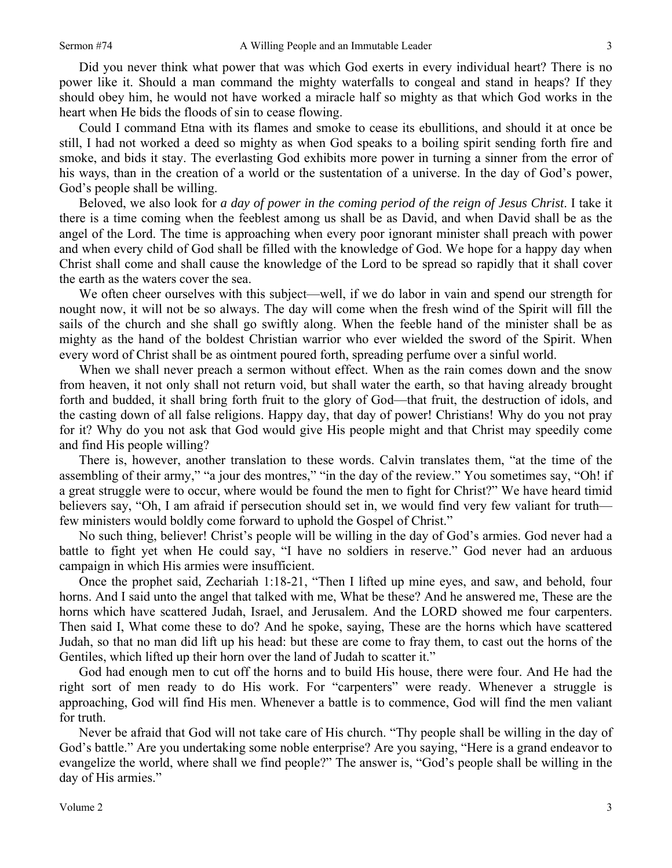Did you never think what power that was which God exerts in every individual heart? There is no power like it. Should a man command the mighty waterfalls to congeal and stand in heaps? If they should obey him, he would not have worked a miracle half so mighty as that which God works in the heart when He bids the floods of sin to cease flowing.

Could I command Etna with its flames and smoke to cease its ebullitions, and should it at once be still, I had not worked a deed so mighty as when God speaks to a boiling spirit sending forth fire and smoke, and bids it stay. The everlasting God exhibits more power in turning a sinner from the error of his ways, than in the creation of a world or the sustentation of a universe. In the day of God's power, God's people shall be willing.

Beloved, we also look for *a day of power in the coming period of the reign of Jesus Christ*. I take it there is a time coming when the feeblest among us shall be as David, and when David shall be as the angel of the Lord. The time is approaching when every poor ignorant minister shall preach with power and when every child of God shall be filled with the knowledge of God. We hope for a happy day when Christ shall come and shall cause the knowledge of the Lord to be spread so rapidly that it shall cover the earth as the waters cover the sea.

We often cheer ourselves with this subject—well, if we do labor in vain and spend our strength for nought now, it will not be so always. The day will come when the fresh wind of the Spirit will fill the sails of the church and she shall go swiftly along. When the feeble hand of the minister shall be as mighty as the hand of the boldest Christian warrior who ever wielded the sword of the Spirit. When every word of Christ shall be as ointment poured forth, spreading perfume over a sinful world.

When we shall never preach a sermon without effect. When as the rain comes down and the snow from heaven, it not only shall not return void, but shall water the earth, so that having already brought forth and budded, it shall bring forth fruit to the glory of God—that fruit, the destruction of idols, and the casting down of all false religions. Happy day, that day of power! Christians! Why do you not pray for it? Why do you not ask that God would give His people might and that Christ may speedily come and find His people willing?

There is, however, another translation to these words. Calvin translates them, "at the time of the assembling of their army," "a jour des montres," "in the day of the review." You sometimes say, "Oh! if a great struggle were to occur, where would be found the men to fight for Christ?" We have heard timid believers say, "Oh, I am afraid if persecution should set in, we would find very few valiant for truth few ministers would boldly come forward to uphold the Gospel of Christ."

No such thing, believer! Christ's people will be willing in the day of God's armies. God never had a battle to fight yet when He could say, "I have no soldiers in reserve." God never had an arduous campaign in which His armies were insufficient.

Once the prophet said, Zechariah 1:18-21, "Then I lifted up mine eyes, and saw, and behold, four horns. And I said unto the angel that talked with me, What be these? And he answered me, These are the horns which have scattered Judah, Israel, and Jerusalem. And the LORD showed me four carpenters. Then said I, What come these to do? And he spoke, saying, These are the horns which have scattered Judah, so that no man did lift up his head: but these are come to fray them, to cast out the horns of the Gentiles, which lifted up their horn over the land of Judah to scatter it."

God had enough men to cut off the horns and to build His house, there were four. And He had the right sort of men ready to do His work. For "carpenters" were ready. Whenever a struggle is approaching, God will find His men. Whenever a battle is to commence, God will find the men valiant for truth.

Never be afraid that God will not take care of His church. "Thy people shall be willing in the day of God's battle." Are you undertaking some noble enterprise? Are you saying, "Here is a grand endeavor to evangelize the world, where shall we find people?" The answer is, "God's people shall be willing in the day of His armies."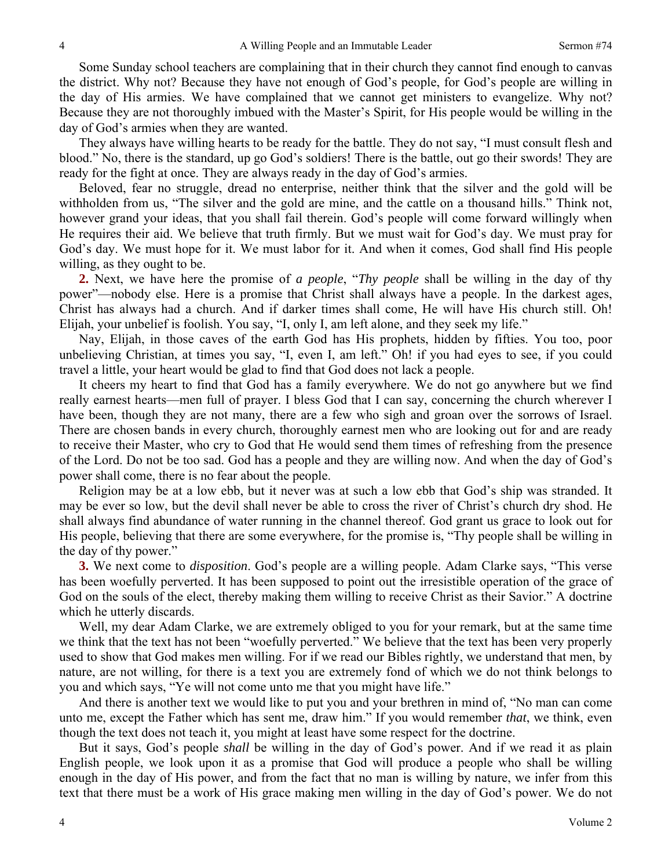Some Sunday school teachers are complaining that in their church they cannot find enough to canvas the district. Why not? Because they have not enough of God's people, for God's people are willing in the day of His armies. We have complained that we cannot get ministers to evangelize. Why not? Because they are not thoroughly imbued with the Master's Spirit, for His people would be willing in the day of God's armies when they are wanted.

They always have willing hearts to be ready for the battle. They do not say, "I must consult flesh and blood." No, there is the standard, up go God's soldiers! There is the battle, out go their swords! They are ready for the fight at once. They are always ready in the day of God's armies.

Beloved, fear no struggle, dread no enterprise, neither think that the silver and the gold will be withholden from us, "The silver and the gold are mine, and the cattle on a thousand hills." Think not, however grand your ideas, that you shall fail therein. God's people will come forward willingly when He requires their aid. We believe that truth firmly. But we must wait for God's day. We must pray for God's day. We must hope for it. We must labor for it. And when it comes, God shall find His people willing, as they ought to be.

**2.** Next, we have here the promise of *a people*, "*Thy people* shall be willing in the day of thy power"—nobody else. Here is a promise that Christ shall always have a people. In the darkest ages, Christ has always had a church. And if darker times shall come, He will have His church still. Oh! Elijah, your unbelief is foolish. You say, "I, only I, am left alone, and they seek my life."

Nay, Elijah, in those caves of the earth God has His prophets, hidden by fifties. You too, poor unbelieving Christian, at times you say, "I, even I, am left." Oh! if you had eyes to see, if you could travel a little, your heart would be glad to find that God does not lack a people.

It cheers my heart to find that God has a family everywhere. We do not go anywhere but we find really earnest hearts—men full of prayer. I bless God that I can say, concerning the church wherever I have been, though they are not many, there are a few who sigh and groan over the sorrows of Israel. There are chosen bands in every church, thoroughly earnest men who are looking out for and are ready to receive their Master, who cry to God that He would send them times of refreshing from the presence of the Lord. Do not be too sad. God has a people and they are willing now. And when the day of God's power shall come, there is no fear about the people.

Religion may be at a low ebb, but it never was at such a low ebb that God's ship was stranded. It may be ever so low, but the devil shall never be able to cross the river of Christ's church dry shod. He shall always find abundance of water running in the channel thereof. God grant us grace to look out for His people, believing that there are some everywhere, for the promise is, "Thy people shall be willing in the day of thy power."

**3.** We next come to *disposition*. God's people are a willing people. Adam Clarke says, "This verse has been woefully perverted. It has been supposed to point out the irresistible operation of the grace of God on the souls of the elect, thereby making them willing to receive Christ as their Savior." A doctrine which he utterly discards.

Well, my dear Adam Clarke, we are extremely obliged to you for your remark, but at the same time we think that the text has not been "woefully perverted." We believe that the text has been very properly used to show that God makes men willing. For if we read our Bibles rightly, we understand that men, by nature, are not willing, for there is a text you are extremely fond of which we do not think belongs to you and which says, "Ye will not come unto me that you might have life."

And there is another text we would like to put you and your brethren in mind of, "No man can come unto me, except the Father which has sent me, draw him." If you would remember *that*, we think, even though the text does not teach it, you might at least have some respect for the doctrine.

But it says, God's people *shall* be willing in the day of God's power. And if we read it as plain English people, we look upon it as a promise that God will produce a people who shall be willing enough in the day of His power, and from the fact that no man is willing by nature, we infer from this text that there must be a work of His grace making men willing in the day of God's power. We do not

4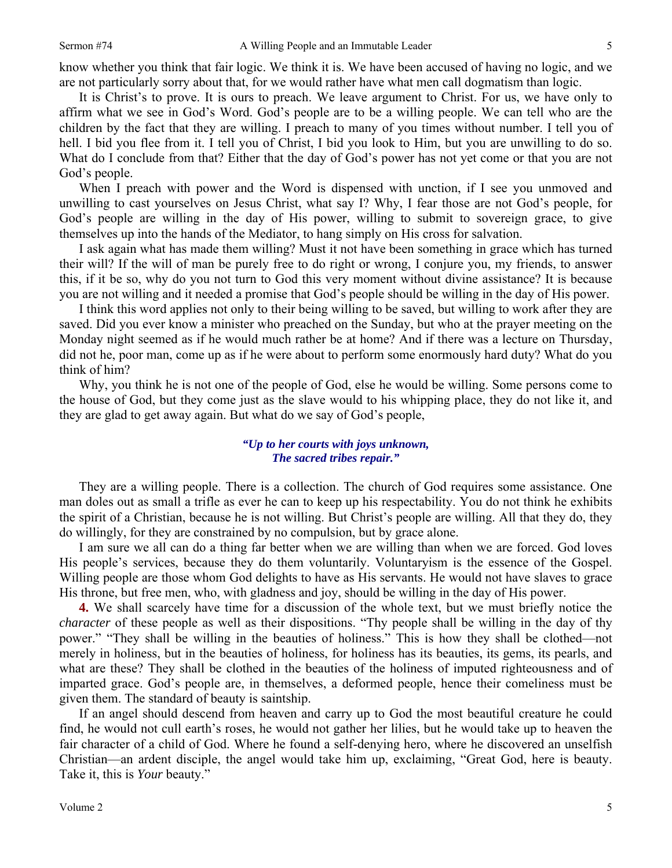know whether you think that fair logic. We think it is. We have been accused of having no logic, and we are not particularly sorry about that, for we would rather have what men call dogmatism than logic.

It is Christ's to prove. It is ours to preach. We leave argument to Christ. For us, we have only to affirm what we see in God's Word. God's people are to be a willing people. We can tell who are the children by the fact that they are willing. I preach to many of you times without number. I tell you of hell. I bid you flee from it. I tell you of Christ, I bid you look to Him, but you are unwilling to do so. What do I conclude from that? Either that the day of God's power has not yet come or that you are not God's people.

When I preach with power and the Word is dispensed with unction, if I see you unmoved and unwilling to cast yourselves on Jesus Christ, what say I? Why, I fear those are not God's people, for God's people are willing in the day of His power, willing to submit to sovereign grace, to give themselves up into the hands of the Mediator, to hang simply on His cross for salvation.

I ask again what has made them willing? Must it not have been something in grace which has turned their will? If the will of man be purely free to do right or wrong, I conjure you, my friends, to answer this, if it be so, why do you not turn to God this very moment without divine assistance? It is because you are not willing and it needed a promise that God's people should be willing in the day of His power.

I think this word applies not only to their being willing to be saved, but willing to work after they are saved. Did you ever know a minister who preached on the Sunday, but who at the prayer meeting on the Monday night seemed as if he would much rather be at home? And if there was a lecture on Thursday, did not he, poor man, come up as if he were about to perform some enormously hard duty? What do you think of him?

Why, you think he is not one of the people of God, else he would be willing. Some persons come to the house of God, but they come just as the slave would to his whipping place, they do not like it, and they are glad to get away again. But what do we say of God's people,

# *"Up to her courts with joys unknown, The sacred tribes repair."*

They are a willing people. There is a collection. The church of God requires some assistance. One man doles out as small a trifle as ever he can to keep up his respectability. You do not think he exhibits the spirit of a Christian, because he is not willing. But Christ's people are willing. All that they do, they do willingly, for they are constrained by no compulsion, but by grace alone.

I am sure we all can do a thing far better when we are willing than when we are forced. God loves His people's services, because they do them voluntarily. Voluntaryism is the essence of the Gospel. Willing people are those whom God delights to have as His servants. He would not have slaves to grace His throne, but free men, who, with gladness and joy, should be willing in the day of His power.

**4.** We shall scarcely have time for a discussion of the whole text, but we must briefly notice the *character* of these people as well as their dispositions. "Thy people shall be willing in the day of thy power." "They shall be willing in the beauties of holiness." This is how they shall be clothed—not merely in holiness, but in the beauties of holiness, for holiness has its beauties, its gems, its pearls, and what are these? They shall be clothed in the beauties of the holiness of imputed righteousness and of imparted grace. God's people are, in themselves, a deformed people, hence their comeliness must be given them. The standard of beauty is saintship.

If an angel should descend from heaven and carry up to God the most beautiful creature he could find, he would not cull earth's roses, he would not gather her lilies, but he would take up to heaven the fair character of a child of God. Where he found a self-denying hero, where he discovered an unselfish Christian—an ardent disciple, the angel would take him up, exclaiming, "Great God, here is beauty. Take it, this is *Your* beauty."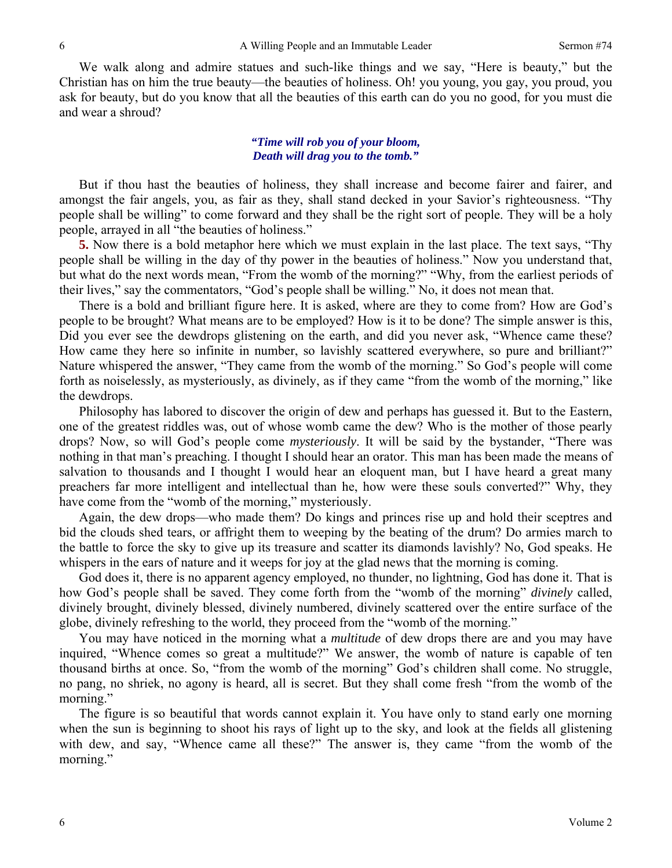We walk along and admire statues and such-like things and we say, "Here is beauty," but the Christian has on him the true beauty—the beauties of holiness. Oh! you young, you gay, you proud, you ask for beauty, but do you know that all the beauties of this earth can do you no good, for you must die and wear a shroud?

## *"Time will rob you of your bloom, Death will drag you to the tomb."*

But if thou hast the beauties of holiness, they shall increase and become fairer and fairer, and amongst the fair angels, you, as fair as they, shall stand decked in your Savior's righteousness. "Thy people shall be willing" to come forward and they shall be the right sort of people. They will be a holy people, arrayed in all "the beauties of holiness."

**5.** Now there is a bold metaphor here which we must explain in the last place. The text says, "Thy people shall be willing in the day of thy power in the beauties of holiness." Now you understand that, but what do the next words mean, "From the womb of the morning?" "Why, from the earliest periods of their lives," say the commentators, "God's people shall be willing." No, it does not mean that.

There is a bold and brilliant figure here. It is asked, where are they to come from? How are God's people to be brought? What means are to be employed? How is it to be done? The simple answer is this, Did you ever see the dewdrops glistening on the earth, and did you never ask, "Whence came these? How came they here so infinite in number, so lavishly scattered everywhere, so pure and brilliant?" Nature whispered the answer, "They came from the womb of the morning." So God's people will come forth as noiselessly, as mysteriously, as divinely, as if they came "from the womb of the morning," like the dewdrops.

Philosophy has labored to discover the origin of dew and perhaps has guessed it. But to the Eastern, one of the greatest riddles was, out of whose womb came the dew? Who is the mother of those pearly drops? Now, so will God's people come *mysteriously*. It will be said by the bystander, "There was nothing in that man's preaching. I thought I should hear an orator. This man has been made the means of salvation to thousands and I thought I would hear an eloquent man, but I have heard a great many preachers far more intelligent and intellectual than he, how were these souls converted?" Why, they have come from the "womb of the morning," mysteriously.

Again, the dew drops—who made them? Do kings and princes rise up and hold their sceptres and bid the clouds shed tears, or affright them to weeping by the beating of the drum? Do armies march to the battle to force the sky to give up its treasure and scatter its diamonds lavishly? No, God speaks. He whispers in the ears of nature and it weeps for joy at the glad news that the morning is coming.

God does it, there is no apparent agency employed, no thunder, no lightning, God has done it. That is how God's people shall be saved. They come forth from the "womb of the morning" *divinely* called, divinely brought, divinely blessed, divinely numbered, divinely scattered over the entire surface of the globe, divinely refreshing to the world, they proceed from the "womb of the morning."

You may have noticed in the morning what a *multitude* of dew drops there are and you may have inquired, "Whence comes so great a multitude?" We answer, the womb of nature is capable of ten thousand births at once. So, "from the womb of the morning" God's children shall come. No struggle, no pang, no shriek, no agony is heard, all is secret. But they shall come fresh "from the womb of the morning."

The figure is so beautiful that words cannot explain it. You have only to stand early one morning when the sun is beginning to shoot his rays of light up to the sky, and look at the fields all glistening with dew, and say, "Whence came all these?" The answer is, they came "from the womb of the morning."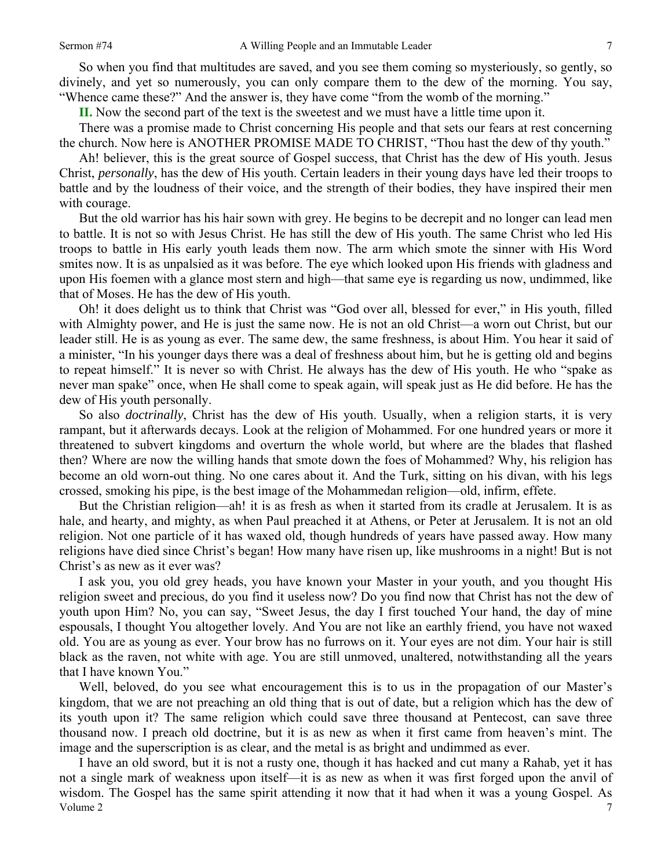So when you find that multitudes are saved, and you see them coming so mysteriously, so gently, so divinely, and yet so numerously, you can only compare them to the dew of the morning. You say, "Whence came these?" And the answer is, they have come "from the womb of the morning."

**II.** Now the second part of the text is the sweetest and we must have a little time upon it.

There was a promise made to Christ concerning His people and that sets our fears at rest concerning the church. Now here is ANOTHER PROMISE MADE TO CHRIST, "Thou hast the dew of thy youth."

Ah! believer, this is the great source of Gospel success, that Christ has the dew of His youth. Jesus Christ, *personally*, has the dew of His youth. Certain leaders in their young days have led their troops to battle and by the loudness of their voice, and the strength of their bodies, they have inspired their men with courage.

But the old warrior has his hair sown with grey. He begins to be decrepit and no longer can lead men to battle. It is not so with Jesus Christ. He has still the dew of His youth. The same Christ who led His troops to battle in His early youth leads them now. The arm which smote the sinner with His Word smites now. It is as unpalsied as it was before. The eye which looked upon His friends with gladness and upon His foemen with a glance most stern and high—that same eye is regarding us now, undimmed, like that of Moses. He has the dew of His youth.

Oh! it does delight us to think that Christ was "God over all, blessed for ever," in His youth, filled with Almighty power, and He is just the same now. He is not an old Christ—a worn out Christ, but our leader still. He is as young as ever. The same dew, the same freshness, is about Him. You hear it said of a minister, "In his younger days there was a deal of freshness about him, but he is getting old and begins to repeat himself." It is never so with Christ. He always has the dew of His youth. He who "spake as never man spake" once, when He shall come to speak again, will speak just as He did before. He has the dew of His youth personally.

So also *doctrinally*, Christ has the dew of His youth. Usually, when a religion starts, it is very rampant, but it afterwards decays. Look at the religion of Mohammed. For one hundred years or more it threatened to subvert kingdoms and overturn the whole world, but where are the blades that flashed then? Where are now the willing hands that smote down the foes of Mohammed? Why, his religion has become an old worn-out thing. No one cares about it. And the Turk, sitting on his divan, with his legs crossed, smoking his pipe, is the best image of the Mohammedan religion—old, infirm, effete.

But the Christian religion—ah! it is as fresh as when it started from its cradle at Jerusalem. It is as hale, and hearty, and mighty, as when Paul preached it at Athens, or Peter at Jerusalem. It is not an old religion. Not one particle of it has waxed old, though hundreds of years have passed away. How many religions have died since Christ's began! How many have risen up, like mushrooms in a night! But is not Christ's as new as it ever was?

I ask you, you old grey heads, you have known your Master in your youth, and you thought His religion sweet and precious, do you find it useless now? Do you find now that Christ has not the dew of youth upon Him? No, you can say, "Sweet Jesus, the day I first touched Your hand, the day of mine espousals, I thought You altogether lovely. And You are not like an earthly friend, you have not waxed old. You are as young as ever. Your brow has no furrows on it. Your eyes are not dim. Your hair is still black as the raven, not white with age. You are still unmoved, unaltered, notwithstanding all the years that I have known You."

Well, beloved, do you see what encouragement this is to us in the propagation of our Master's kingdom, that we are not preaching an old thing that is out of date, but a religion which has the dew of its youth upon it? The same religion which could save three thousand at Pentecost, can save three thousand now. I preach old doctrine, but it is as new as when it first came from heaven's mint. The image and the superscription is as clear, and the metal is as bright and undimmed as ever.

Volume 2 7 I have an old sword, but it is not a rusty one, though it has hacked and cut many a Rahab, yet it has not a single mark of weakness upon itself—it is as new as when it was first forged upon the anvil of wisdom. The Gospel has the same spirit attending it now that it had when it was a young Gospel. As